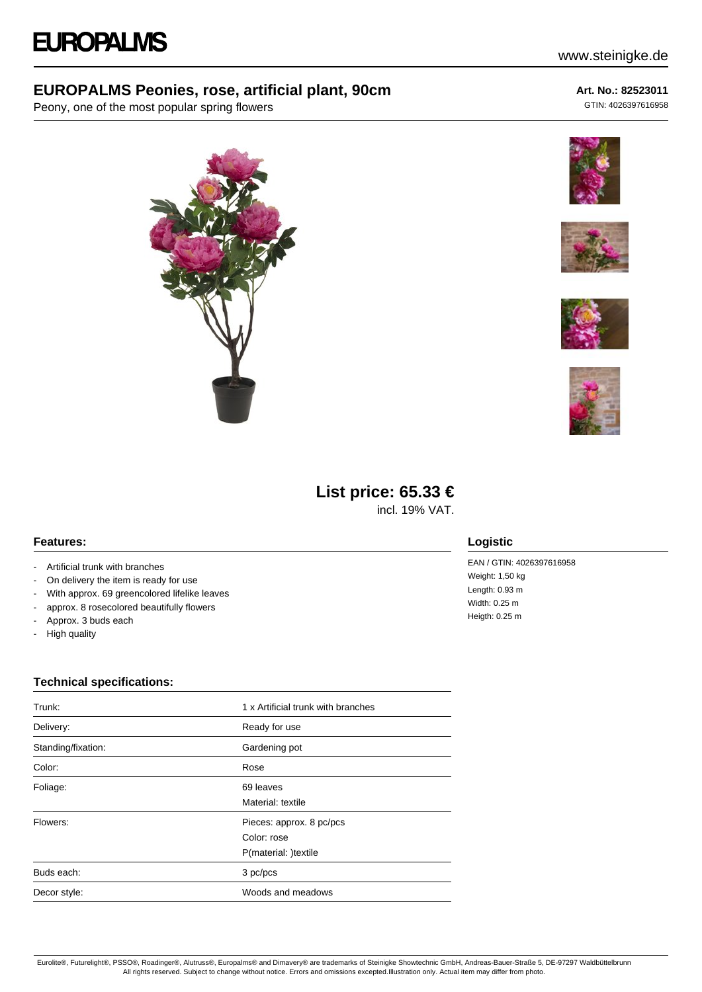## **EUROPALMS Peonies, rose, artificial plant, 90cm**

Peony, one of the most popular spring flowers







# **List price: 65.33 €**

incl. 19% VAT.

#### **Features:**

- Artificial trunk with branches
- On delivery the item is ready for use
- With approx. 69 greencolored lifelike leaves
- approx. 8 rosecolored beautifully flowers
- Approx. 3 buds each
- High quality

## **Logistic**

EAN / GTIN: 4026397616958 Weight: 1,50 kg Heigth: 0.25 m

### **Technical specifications:**

| Trunk:             | 1 x Artificial trunk with branches                              |
|--------------------|-----------------------------------------------------------------|
| Delivery:          | Ready for use                                                   |
| Standing/fixation: | Gardening pot                                                   |
| Color:             | Rose                                                            |
| Foliage:           | 69 leaves<br>Material: textile                                  |
| Flowers:           | Pieces: approx. 8 pc/pcs<br>Color: rose<br>P(material: )textile |
| Buds each:         | 3 pc/pcs                                                        |
| Decor style:       | Woods and meadows                                               |





**Art. No.: 82523011** GTIN: 4026397616958